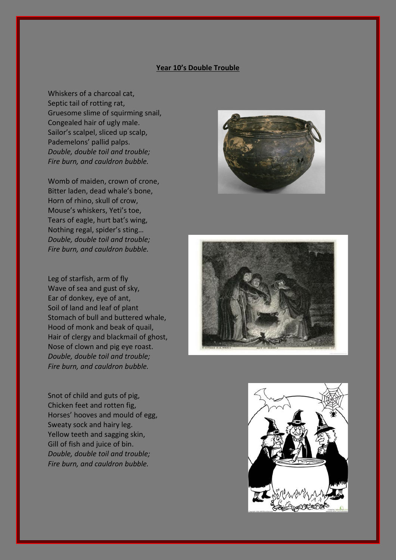## **Year 10's Double Trouble**

Whiskers of a charcoal cat, Septic tail of rotting rat, Gruesome slime of squirming snail, Congealed hair of ugly male. Sailor's scalpel, sliced up scalp, Pademelons' pallid palps. *Double, double toil and trouble; Fire burn, and cauldron bubble.*

Womb of maiden, crown of crone, Bitter laden, dead whale's bone, Horn of rhino, skull of crow, Mouse's whiskers, Yeti's toe, Tears of eagle, hurt bat's wing, Nothing regal, spider's sting… *Double, double toil and trouble; Fire burn, and cauldron bubble.*

Leg of starfish, arm of fly Wave of sea and gust of sky, Ear of donkey, eye of ant, Soil of land and leaf of plant Stomach of bull and buttered whale, Hood of monk and beak of quail, Hair of clergy and blackmail of ghost, Nose of clown and pig eye roast. *Double, double toil and trouble; Fire burn, and cauldron bubble.*

Snot of child and guts of pig, Chicken feet and rotten fig, Horses' hooves and mould of egg, Sweaty sock and hairy leg. Yellow teeth and sagging skin, Gill of fish and juice of bin. *Double, double toil and trouble; Fire burn, and cauldron bubble.*